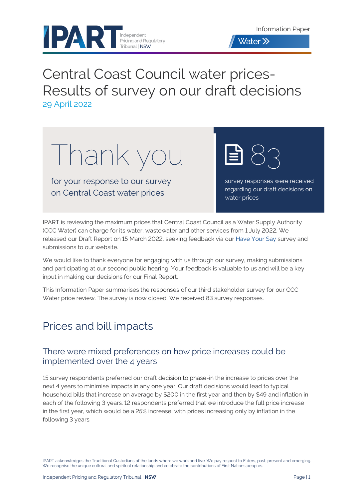



# Central Coast Council water prices-Results of survey on our draft decisions 29 April 2022

Thank you

for your response to our survey on Central Coast water prices

survey responses were received regarding our draft decisions on water prices

83

IPART is reviewing the maximum prices that Central Coast Council as a Water Supply Authority (CCC Water) can charge for its water, wastewater and other services from 1 July 2022. We released our Draft Report on 15 March 2022, seeking feedback via our [Have Your Say](https://www.haveyoursay.nsw.gov.au/central-coast-water-prices) survey and submissions to our website.

We would like to thank everyone for engaging with us through our survey, making submissions and participating at our second public hearing. Your feedback is valuable to us and will be a key input in making our decisions for our Final Report.

This Information Paper summarises the responses of our third stakeholder survey for our CCC Water price review. The survey is now closed. We received 83 survey responses.

## Prices and bill impacts

## There were mixed preferences on how price increases could be implemented over the 4 years

15 survey respondents preferred our draft decision to phase-in the increase to prices over the next 4 years to minimise impacts in any one year. Our draft decisions would lead to typical household bills that increase on average by \$200 in the first year and then by \$49 and inflation in each of the following 3 years. 12 respondents preferred that we introduce the full price increase in the first year, which would be a 25% increase, with prices increasing only by inflation in the following 3 years.

IPART acknowledges the Traditional Custodians of the lands where we work and live. We pay respect to Elders, past, present and emerging. We recognise the unique cultural and spiritual relationship and celebrate the contributions of First Nations peoples.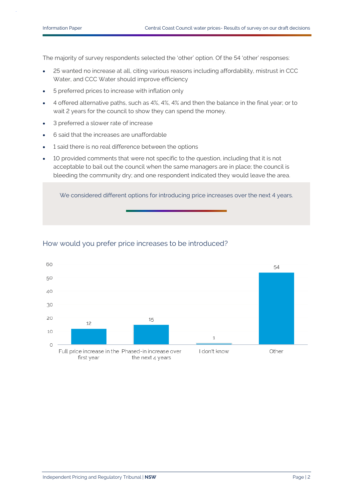The majority of survey respondents selected the 'other' option. Of the 54 'other' responses:

- 25 wanted no increase at all, citing various reasons including affordability, mistrust in CCC Water, and CCC Water should improve efficiency
- 5 preferred prices to increase with inflation only
- 4 offered alternative paths, such as 4%, 4%, 4% and then the balance in the final year; or to wait 2 years for the council to show they can spend the money.
- 3 preferred a slower rate of increase
- 6 said that the increases are unaffordable
- 1 said there is no real difference between the options
- 10 provided comments that were not specific to the question, including that it is not acceptable to bail out the council when the same managers are in place; the council is bleeding the community dry; and one respondent indicated they would leave the area.

We considered different options for introducing price increases over the next 4 years.



#### How would you prefer price increases to be introduced?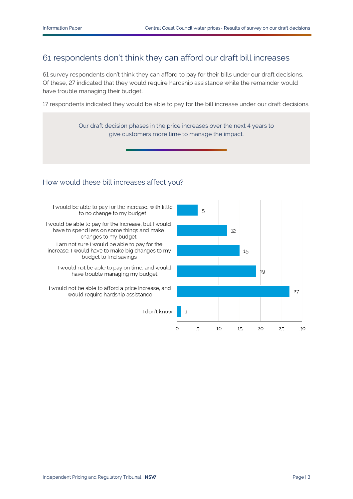## 61 respondents don't think they can afford our draft bill increases

61 survey respondents don't think they can afford to pay for their bills under our draft decisions. Of these, 27 indicated that they would require hardship assistance while the remainder would have trouble managing their budget.

17 respondents indicated they would be able to pay for the bill increase under our draft decisions.

Our draft decision phases in the price increases over the next 4 years to give customers more time to manage the impact. How would these bill increases affect you?I would be able to pay for the increase, with little 5 to no change to my budget I would be able to pay for the increase, but I would have to spend less on some things and make 12 changes to my budget I am not sure I would be able to pay for the increase, I would have to make big changes to my 15 budget to find savings I would not be able to pay on time, and would 19 have trouble managing my budget I would not be able to afford a price increase, and 27

would require hardship assistance

I don't know

 $\mathbf{1}$ 

5

10

15

20

25

30

 $\circ$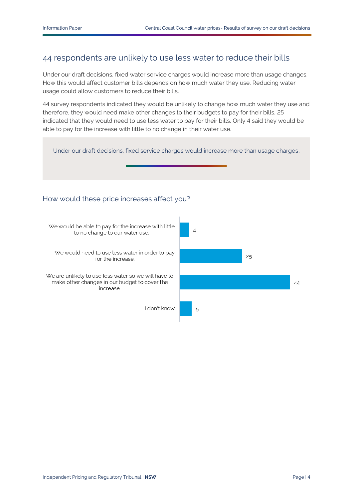### 44 respondents are unlikely to use less water to reduce their bills

Under our draft decisions, fixed water service charges would increase more than usage changes. How this would affect customer bills depends on how much water they use. Reducing water usage could allow customers to reduce their bills.

44 survey respondents indicated they would be unlikely to change how much water they use and therefore, they would need make other changes to their budgets to pay for their bills. 25 indicated that they would need to use less water to pay for their bills. Only 4 said they would be able to pay for the increase with little to no change in their water use.

Under our draft decisions, fixed service charges would increase more than usage charges.

#### How would these price increases affect you?

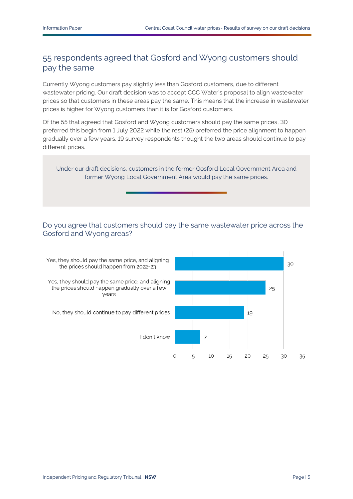## 55 respondents agreed that Gosford and Wyong customers should pay the same

Currently Wyong customers pay slightly less than Gosford customers, due to different wastewater pricing. Our draft decision was to accept CCC Water's proposal to align wastewater prices so that customers in these areas pay the same. This means that the increase in wastewater prices is higher for Wyong customers than it is for Gosford customers.

Of the 55 that agreed that Gosford and Wyong customers should pay the same prices, 30 preferred this begin from 1 July 2022 while the rest (25) preferred the price alignment to happen gradually over a few years. 19 survey respondents thought the two areas should continue to pay different prices.

Under our draft decisions, customers in the former Gosford Local Government Area and former Wyong Local Government Area would pay the same prices.

#### Do you agree that customers should pay the same wastewater price across the Gosford and Wyong areas?

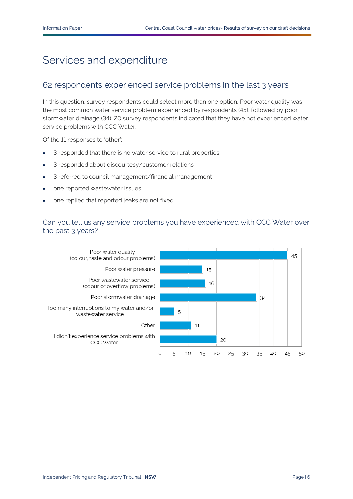# Services and expenditure

## 62 respondents experienced service problems in the last 3 years

In this question, survey respondents could select more than one option. Poor water quality was the most common water service problem experienced by respondents (45), followed by poor stormwater drainage (34). 20 survey respondents indicated that they have not experienced water service problems with CCC Water.

Of the 11 responses to 'other':

- 3 responded that there is no water service to rural properties
- 3 responded about discourtesy/customer relations
- 3 referred to council management/financial management
- one reported wastewater issues
- one replied that reported leaks are not fixed.

#### Can you tell us any service problems you have experienced with CCC Water over the past 3 years?

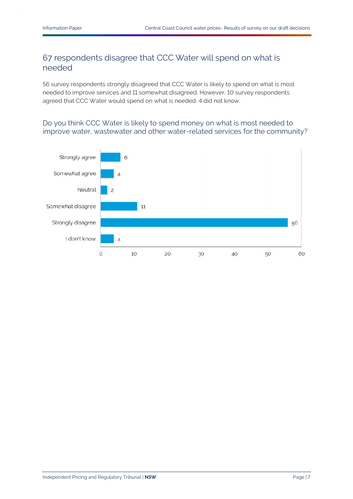## 67 respondents disagree that CCC Water will spend on what is needed

56 survey respondents strongly disagreed that CCC Water is likely to spend on what is most needed to improve services and 11 somewhat disagreed. However, 10 survey respondents agreed that CCC Water would spend on what is needed. 4 did not know.

#### Do you think CCC Water is likely to spend money on what is most needed to improve water, wastewater and other water-related services for the community?

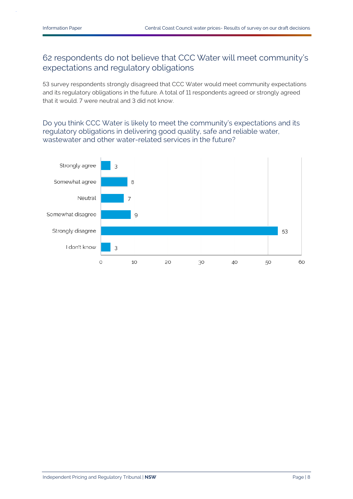## 62 respondents do not believe that CCC Water will meet community's expectations and regulatory obligations

53 survey respondents strongly disagreed that CCC Water would meet community expectations and its regulatory obligations in the future. A total of 11 respondents agreed or strongly agreed that it would. 7 were neutral and 3 did not know.

Do you think CCC Water is likely to meet the community's expectations and its regulatory obligations in delivering good quality, safe and reliable water, wastewater and other water-related services in the future?

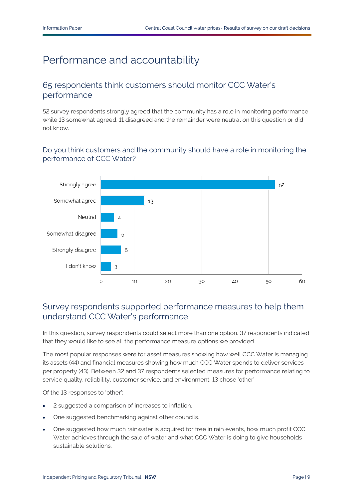# Performance and accountability

### 65 respondents think customers should monitor CCC Water's performance

52 survey respondents strongly agreed that the community has a role in monitoring performance, while 13 somewhat agreed. 11 disagreed and the remainder were neutral on this question or did not know.

#### Do you think customers and the community should have a role in monitoring the performance of CCC Water?



### Survey respondents supported performance measures to help them understand CCC Water's performance

In this question, survey respondents could select more than one option. 37 respondents indicated that they would like to see all the performance measure options we provided.

The most popular responses were for asset measures showing how well CCC Water is managing its assets (44) and financial measures showing how much CCC Water spends to deliver services per property (43). Between 32 and 37 respondents selected measures for performance relating to service quality, reliability, customer service, and environment. 13 chose 'other'.

Of the 13 responses to 'other':

- 2 suggested a comparison of increases to inflation.
- One suggested benchmarking against other councils.
- One suggested how much rainwater is acquired for free in rain events, how much profit CCC Water achieves through the sale of water and what CCC Water is doing to give households sustainable solutions.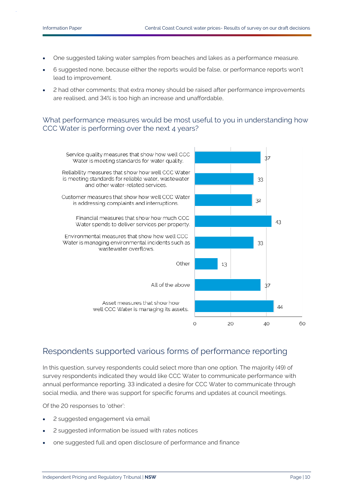- One suggested taking water samples from beaches and lakes as a performance measure.
- 6 suggested none, because either the reports would be false, or performance reports won't lead to improvement.
- 2 had other comments; that extra money should be raised after performance improvements are realised, and 34% is too high an increase and unaffordable,

#### What performance measures would be most useful to you in understanding how CCC Water is performing over the next 4 years?



## Respondents supported various forms of performance reporting

In this question, survey respondents could select more than one option. The majority (49) of survey respondents indicated they would like CCC Water to communicate performance with annual performance reporting. 33 indicated a desire for CCC Water to communicate through social media, and there was support for specific forums and updates at council meetings.

Of the 20 responses to 'other':

- 2 suggested engagement via email
- 2 suggested information be issued with rates notices
- one suggested full and open disclosure of performance and finance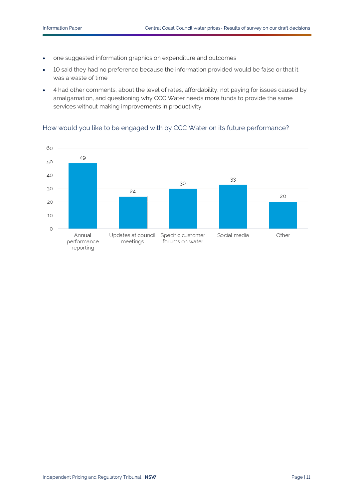- one suggested information graphics on expenditure and outcomes
- 10 said they had no preference because the information provided would be false or that it was a waste of time
- 4 had other comments, about the level of rates, affordability, not paying for issues caused by amalgamation, and questioning why CCC Water needs more funds to provide the same services without making improvements in productivity.

#### How would you like to be engaged with by CCC Water on its future performance?